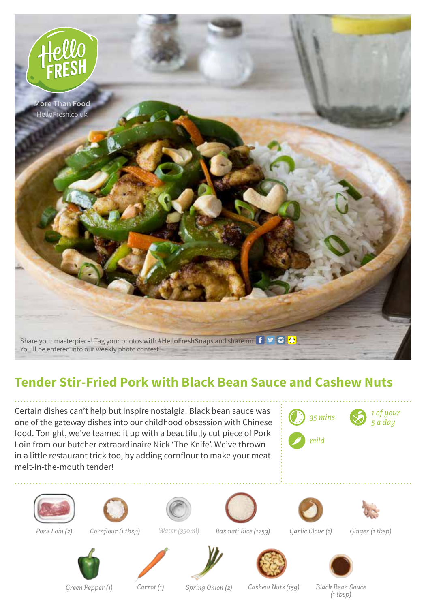

## **Tender Stir-Fried Pork with Black Bean Sauce and Cashew Nuts**

Certain dishes can't help but inspire nostalgia. Black bean sauce was one of the gateway dishes into our childhood obsession with Chinese food. Tonight, we've teamed it up with a beautifully cut piece of Pork Loin from our butcher extraordinaire Nick 'The Knife'. We've thrown in a little restaurant trick too, by adding cornflour to make your meat melt-in-the-mouth tender!







*Pork Loin (2) Cornflour (1 tbsp)*



*Water (350ml)*













*Green Pepper (1)*

*Carrot (1) Spring Onion (2) Cashew Nuts (15g) Black Bean Sauce*

*(1 tbsp)*